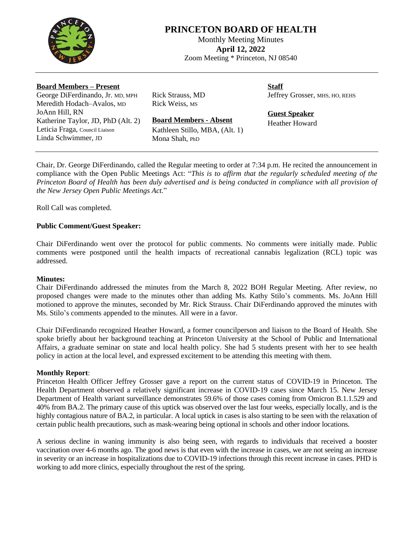

# **PRINCETON BOARD OF HEALTH**

Monthly Meeting Minutes **April 12, 2022** Zoom Meeting \* Princeton, NJ 08540

## **Board Members – Present**

George DiFerdinando, Jr. MD, MPH Meredith Hodach–Avalos, MD JoAnn Hill, RN Katherine Taylor, JD, PhD (Alt. 2) Leticia Fraga, Council Liaison Linda Schwimmer, JD

Rick Strauss, MD Rick Weiss, MS

Mona Shah, PhD

**Staff** Jeffrey Grosser, MHS, HO, REHS

**Guest Speaker** Heather Howard

Chair, Dr. George DiFerdinando, called the Regular meeting to order at 7:34 p.m. He recited the announcement in

**Board Members - Absent** Kathleen Stillo, MBA, (Alt. 1)

compliance with the Open Public Meetings Act: "*This is to affirm that the regularly scheduled meeting of the* Princeton Board of Health has been duly advertised and is being conducted in compliance with all provision of *the New Jersey Open Public Meetings Act.*"

Roll Call was completed.

# **Public Comment/Guest Speaker:**

Chair DiFerdinando went over the protocol for public comments. No comments were initially made. Public comments were postponed until the health impacts of recreational cannabis legalization (RCL) topic was addressed.

## **Minutes:**

Chair DiFerdinando addressed the minutes from the March 8, 2022 BOH Regular Meeting. After review, no proposed changes were made to the minutes other than adding Ms. Kathy Stilo's comments. Ms. JoAnn Hill motioned to approve the minutes, seconded by Mr. Rick Strauss. Chair DiFerdinando approved the minutes with Ms. Stilo's comments appended to the minutes. All were in a favor.

Chair DiFerdinando recognized Heather Howard, a former councilperson and liaison to the Board of Health. She spoke briefly about her background teaching at Princeton University at the School of Public and International Affairs, a graduate seminar on state and local health policy. She had 5 students present with her to see health policy in action at the local level, and expressed excitement to be attending this meeting with them.

## **Monthly Report**:

Princeton Health Officer Jeffrey Grosser gave a report on the current status of COVID-19 in Princeton. The Health Department observed a relatively significant increase in COVID-19 cases since March 15. New Jersey Department of Health variant surveillance demonstrates 59.6% of those cases coming from Omicron B.1.1.529 and 40% from BA.2. The primary cause of this uptick was observed over the last four weeks, especially locally, and is the highly contagious nature of BA.2, in particular. A local uptick in cases is also starting to be seen with the relaxation of certain public health precautions, such as mask-wearing being optional in schools and other indoor locations.

A serious decline in waning immunity is also being seen, with regards to individuals that received a booster vaccination over 4-6 months ago. The good news is that even with the increase in cases, we are not seeing an increase in severity or an increase in hospitalizations due to COVID-19 infections through this recent increase in cases. PHD is working to add more clinics, especially throughout the rest of the spring.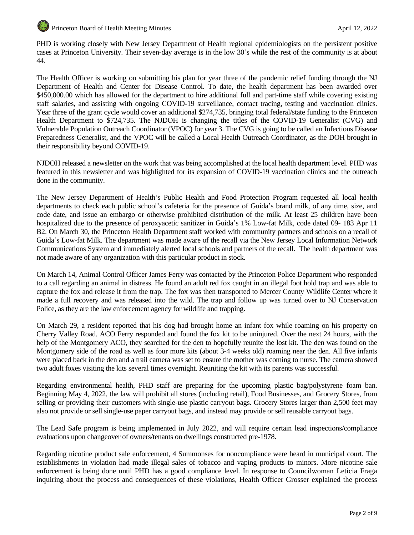PHD is working closely with New Jersey Department of Health regional epidemiologists on the persistent positive cases at Princeton University. Their seven-day average is in the low 30's while the rest of the community is at about 44.

The Health Officer is working on submitting his plan for year three of the pandemic relief funding through the NJ Department of Health and Center for Disease Control. To date, the health department has been awarded over \$450,000.00 which has allowed for the department to hire additional full and part-time staff while covering existing staff salaries, and assisting with ongoing COVID-19 surveillance, contact tracing, testing and vaccination clinics. Year three of the grant cycle would cover an additional \$274,735, bringing total federal/state funding to the Princeton Health Department to \$724,735. The NJDOH is changing the titles of the COVID-19 Generalist (CVG) and Vulnerable Population Outreach Coordinator (VPOC) for year 3. The CVG is going to be called an Infectious Disease Preparedness Generalist, and the VPOC will be called a Local Health Outreach Coordinator, as the DOH brought in their responsibility beyond COVID-19.

NJDOH released a newsletter on the work that was being accomplished at the local health department level. PHD was featured in this newsletter and was highlighted for its expansion of COVID-19 vaccination clinics and the outreach done in the community.

The New Jersey Department of Health's Public Health and Food Protection Program requested all local health departments to check each public school's cafeteria for the presence of Guida's brand milk, of any time, size, and code date, and issue an embargo or otherwise prohibited distribution of the milk. At least 25 children have been hospitalized due to the presence of peroxyacetic sanitizer in Guida's 1% Low-fat Milk, code dated 09- 183 Apr 11 B2. On March 30, the Princeton Health Department staff worked with community partners and schools on a recall of Guida's Low-fat Milk. The department was made aware of the recall via the New Jersey Local Information Network Communications System and immediately alerted local schools and partners of the recall. The health department was not made aware of any organization with this particular product in stock.

On March 14, Animal Control Officer James Ferry was contacted by the Princeton Police Department who responded to a call regarding an animal in distress. He found an adult red fox caught in an illegal foot hold trap and was able to capture the fox and release it from the trap. The fox was then transported to Mercer County Wildlife Center where it made a full recovery and was released into the wild. The trap and follow up was turned over to NJ Conservation Police, as they are the law enforcement agency for wildlife and trapping.

On March 29, a resident reported that his dog had brought home an infant fox while roaming on his property on Cherry Valley Road. ACO Ferry responded and found the fox kit to be uninjured. Over the next 24 hours, with the help of the Montgomery ACO, they searched for the den to hopefully reunite the lost kit. The den was found on the Montgomery side of the road as well as four more kits (about 3-4 weeks old) roaming near the den. All five infants were placed back in the den and a trail camera was set to ensure the mother was coming to nurse. The camera showed two adult foxes visiting the kits several times overnight. Reuniting the kit with its parents was successful.

Regarding environmental health, PHD staff are preparing for the upcoming plastic bag/polystyrene foam ban. Beginning May 4, 2022, the law will prohibit all stores (including retail), Food Businesses, and Grocery Stores, from selling or providing their customers with single-use plastic carryout bags. Grocery Stores larger than 2,500 feet may also not provide or sell single-use paper carryout bags, and instead may provide or sell reusable carryout bags.

The Lead Safe program is being implemented in July 2022, and will require certain lead inspections/compliance evaluations upon changeover of owners/tenants on dwellings constructed pre-1978.

Regarding nicotine product sale enforcement, 4 Summonses for noncompliance were heard in municipal court. The establishments in violation had made illegal sales of tobacco and vaping products to minors. More nicotine sale enforcement is being done until PHD has a good compliance level. In response to Councilwoman Leticia Fraga inquiring about the process and consequences of these violations, Health Officer Grosser explained the process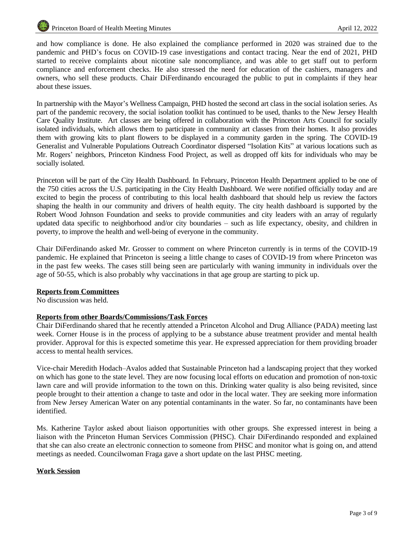and how compliance is done. He also explained the compliance performed in 2020 was strained due to the pandemic and PHD's focus on COVID-19 case investigations and contact tracing. Near the end of 2021, PHD started to receive complaints about nicotine sale noncompliance, and was able to get staff out to perform compliance and enforcement checks. He also stressed the need for education of the cashiers, managers and owners, who sell these products. Chair DiFerdinando encouraged the public to put in complaints if they hear about these issues.

In partnership with the Mayor's Wellness Campaign, PHD hosted the second art class in the social isolation series. As part of the pandemic recovery, the social isolation toolkit has continued to be used, thanks to the New Jersey Health Care Quality Institute. Art classes are being offered in collaboration with the Princeton Arts Council for socially isolated individuals, which allows them to participate in community art classes from their homes. It also provides them with growing kits to plant flowers to be displayed in a community garden in the spring. The COVID-19 Generalist and Vulnerable Populations Outreach Coordinator dispersed "Isolation Kits" at various locations such as Mr. Rogers' neighbors, Princeton Kindness Food Project, as well as dropped off kits for individuals who may be socially isolated.

Princeton will be part of the City Health Dashboard. In February, Princeton Health Department applied to be one of the 750 cities across the U.S. participating in the City Health Dashboard. We were notified officially today and are excited to begin the process of contributing to this local health dashboard that should help us review the factors shaping the health in our community and drivers of health equity. The city health dashboard is supported by the Robert Wood Johnson Foundation and seeks to provide communities and city leaders with an array of regularly updated data specific to neighborhood and/or city boundaries – such as life expectancy, obesity, and children in poverty, to improve the health and well-being of everyone in the community.

Chair DiFerdinando asked Mr. Grosser to comment on where Princeton currently is in terms of the COVID-19 pandemic. He explained that Princeton is seeing a little change to cases of COVID-19 from where Princeton was in the past few weeks. The cases still being seen are particularly with waning immunity in individuals over the age of 50-55, which is also probably why vaccinations in that age group are starting to pick up.

## **Reports from Committees**

No discussion was held.

## **Reports from other Boards/Commissions/Task Forces**

Chair DiFerdinando shared that he recently attended a Princeton Alcohol and Drug Alliance (PADA) meeting last week. Corner House is in the process of applying to be a substance abuse treatment provider and mental health provider. Approval for this is expected sometime this year. He expressed appreciation for them providing broader access to mental health services.

Vice-chair Meredith Hodach–Avalos added that Sustainable Princeton had a landscaping project that they worked on which has gone to the state level. They are now focusing local efforts on education and promotion of non-toxic lawn care and will provide information to the town on this. Drinking water quality is also being revisited, since people brought to their attention a change to taste and odor in the local water. They are seeking more information from New Jersey American Water on any potential contaminants in the water. So far, no contaminants have been identified.

Ms. Katherine Taylor asked about liaison opportunities with other groups. She expressed interest in being a liaison with the Princeton Human Services Commission (PHSC). Chair DiFerdinando responded and explained that she can also create an electronic connection to someone from PHSC and monitor what is going on, and attend meetings as needed. Councilwoman Fraga gave a short update on the last PHSC meeting.

## **Work Session**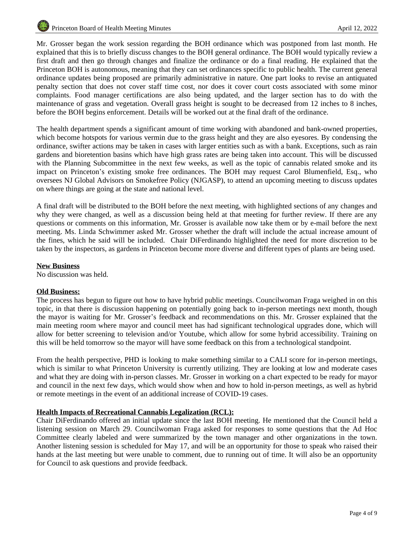Mr. Grosser began the work session regarding the BOH ordinance which was postponed from last month. He explained that this is to briefly discuss changes to the BOH general ordinance. The BOH would typically review a first draft and then go through changes and finalize the ordinance or do a final reading. He explained that the Princeton BOH is autonomous, meaning that they can set ordinances specific to public health. The current general ordinance updates being proposed are primarily administrative in nature. One part looks to revise an antiquated penalty section that does not cover staff time cost, nor does it cover court costs associated with some minor complaints. Food manager certifications are also being updated, and the larger section has to do with the maintenance of grass and vegetation. Overall grass height is sought to be decreased from 12 inches to 8 inches, before the BOH begins enforcement. Details will be worked out at the final draft of the ordinance.

The health department spends a significant amount of time working with abandoned and bank-owned properties, which become hotspots for various vermin due to the grass height and they are also eyesores. By condensing the ordinance, swifter actions may be taken in cases with larger entities such as with a bank. Exceptions, such as rain gardens and bioretention basins which have high grass rates are being taken into account. This will be discussed with the Planning Subcommittee in the next few weeks, as well as the topic of cannabis related smoke and its impact on Princeton's existing smoke free ordinances. The BOH may request Carol Blumenfield, Esq., who oversees NJ Global Advisors on Smokefree Policy (NJGASP), to attend an upcoming meeting to discuss updates on where things are going at the state and national level.

A final draft will be distributed to the BOH before the next meeting, with highlighted sections of any changes and why they were changed, as well as a discussion being held at that meeting for further review. If there are any questions or comments on this information, Mr. Grosser is available now take them or by e-mail before the next meeting. Ms. Linda Schwimmer asked Mr. Grosser whether the draft will include the actual increase amount of the fines, which he said will be included. Chair DiFerdinando highlighted the need for more discretion to be taken by the inspectors, as gardens in Princeton become more diverse and different types of plants are being used.

#### **New Business**

No discussion was held.

#### **Old Business:**

The process has begun to figure out how to have hybrid public meetings. Councilwoman Fraga weighed in on this topic, in that there is discussion happening on potentially going back to in-person meetings next month, though the mayor is waiting for Mr. Grosser's feedback and recommendations on this. Mr. Grosser explained that the main meeting room where mayor and council meet has had significant technological upgrades done, which will allow for better screening to television and/or Youtube, which allow for some hybrid accessibility. Training on this will be held tomorrow so the mayor will have some feedback on this from a technological standpoint.

From the health perspective, PHD is looking to make something similar to a CALI score for in-person meetings, which is similar to what Princeton University is currently utilizing. They are looking at low and moderate cases and what they are doing with in-person classes. Mr. Grosser in working on a chart expected to be ready for mayor and council in the next few days, which would show when and how to hold in-person meetings, as well as hybrid or remote meetings in the event of an additional increase of COVID-19 cases.

#### **Health Impacts of Recreational Cannabis Legalization (RCL):**

Chair DiFerdinando offered an initial update since the last BOH meeting. He mentioned that the Council held a listening session on March 29. Councilwoman Fraga asked for responses to some questions that the Ad Hoc Committee clearly labeled and were summarized by the town manager and other organizations in the town. Another listening session is scheduled for May 17, and will be an opportunity for those to speak who raised their hands at the last meeting but were unable to comment, due to running out of time. It will also be an opportunity for Council to ask questions and provide feedback.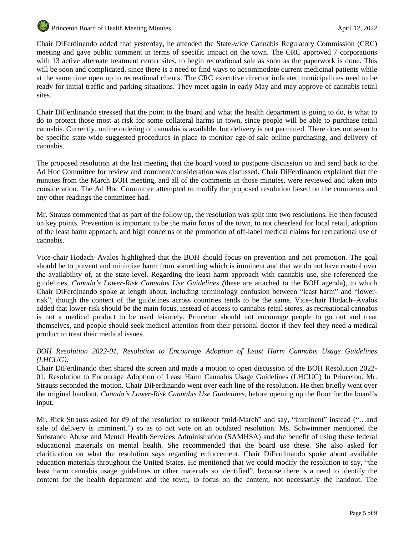Chair DiFerdinando added that yesterday, he attended the State-wide Cannabis Regulatory Commission (CRC) meeting and gave public comment in terms of specific impact on the town. The CRC approved 7 corporations with 13 active alternate treatment center sites, to begin recreational sale as soon as the paperwork is done. This will be soon and complicated, since there is a need to find ways to accommodate current medicinal patients while at the same time open up to recreational clients. The CRC executive director indicated municipalities need to be ready for initial traffic and parking situations. They meet again in early May and may approve of cannabis retail sites.

Chair DiFerdinando stressed that the point to the board and what the health department is going to do, is what to do to protect those most at risk for some collateral harms in town, since people will be able to purchase retail cannabis. Currently, online ordering of cannabis is available, but delivery is not permitted. There does not seem to be specific state-wide suggested procedures in place to monitor age-of-sale online purchasing, and delivery of cannabis.

The proposed resolution at the last meeting that the board voted to postpone discussion on and send back to the Ad Hoc Committee for review and comment/consideration was discussed. Chair DiFerdinando explained that the minutes from the March BOH meeting, and all of the comments in those minutes, were reviewed and taken into consideration. The Ad Hoc Committee attempted to modify the proposed resolution based on the comments and any other readings the committee had.

Mr. Strauss commented that as part of the follow up, the resolution was split into two resolutions. He then focused on key points. Prevention is important to be the main focus of the town, to not cheerlead for local retail, adoption of the least harm approach, and high concerns of the promotion of off-label medical claims for recreational use of cannabis.

Vice-chair Hodach–Avalos highlighted that the BOH should focus on prevention and not promotion. The goal should be to prevent and minimize harm from something which is imminent and that we do not have control over the availability of, at the state-level. Regarding the least harm approach with cannabis use, she referenced the guidelines, *Canada's Lower-Risk Cannabis Use Guidelines (*these are attached to the BOH agenda), to which Chair DiFerdinando spoke at length about, including terminology confusion between "least harm" and "lowerrisk", though the content of the guidelines across countries tends to be the same. Vice-chair Hodach–Avalos added that lower-risk should be the main focus, instead of access to cannabis retail stores, as recreational cannabis is not a medical product to be used leisurely. Princeton should not encourage people to go out and treat themselves, and people should seek medical attention from their personal doctor if they feel they need a medical product to treat their medical issues.

## *BOH Resolution 2022-01, Resolution to Encourage Adoption of Least Harm Cannabis Usage Guidelines (LHCUG):*

Chair DiFerdinando then shared the screen and made a motion to open discussion of the BOH Resolution 2022- 01, Resolution to Encourage Adoption of Least Harm Cannabis Usage Guidelines (LHCUG) In Princeton. Mr. Strauss seconded the motion. Chair DiFerdinando went over each line of the resolution. He then briefly went over the original handout, *Canada's Lower-Risk Cannabis Use Guidelines,* before opening up the floor for the board's input.

Mr. Rick Strauss asked for #9 of the resolution to strikeout "mid-March" and say, "imminent" instead ("…and sale of delivery is imminent.") so as to not vote on an outdated resolution. Ms. Schwimmer mentioned the Substance Abuse and Mental Health Services Administration (SAMHSA) and the benefit of using these federal educational materials on mental health. She recommended that the board use these. She also asked for clarification on what the resolution says regarding enforcement. Chair DiFerdinando spoke about available education materials throughout the United States. He mentioned that we could modify the resolution to say, "the least harm cannabis usage guidelines or other materials so identified", because there is a need to identify the content for the health department and the town, to focus on the content, not necessarily the handout. The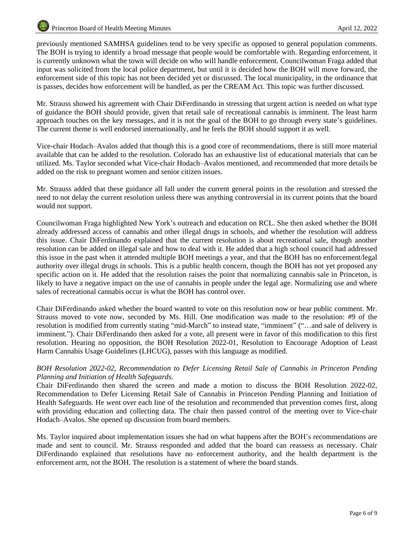previously mentioned SAMHSA guidelines tend to be very specific as opposed to general population comments. The BOH is trying to identify a broad message that people would be comfortable with. Regarding enforcement, it is currently unknown what the town will decide on who will handle enforcement. Councilwoman Fraga added that input was solicited from the local police department, but until it is decided how the BOH will move forward, the enforcement side of this topic has not been decided yet or discussed. The local municipality, in the ordinance that is passes, decides how enforcement will be handled, as per the CREAM Act. This topic was further discussed.

Mr. Strauss showed his agreement with Chair DiFerdinando in stressing that urgent action is needed on what type of guidance the BOH should provide, given that retail sale of recreational cannabis is imminent. The least harm approach touches on the key messages, and it is not the goal of the BOH to go through every state's guidelines. The current theme is well endorsed internationally, and he feels the BOH should support it as well.

Vice-chair Hodach–Avalos added that though this is a good core of recommendations, there is still more material available that can be added to the resolution. Colorado has an exhaustive list of educational materials that can be utilized. Ms. Taylor seconded what Vice-chair Hodach–Avalos mentioned, and recommended that more details be added on the risk to pregnant women and senior citizen issues.

Mr. Strauss added that these guidance all fall under the current general points in the resolution and stressed the need to not delay the current resolution unless there was anything controversial in its current points that the board would not support.

Councilwoman Fraga highlighted New York's outreach and education on RCL. She then asked whether the BOH already addressed access of cannabis and other illegal drugs in schools, and whether the resolution will address this issue. Chair DiFerdinando explained that the current resolution is about recreational sale, though another resolution can be added on illegal sale and how to deal with it. He added that a high school council had addressed this issue in the past when it attended multiple BOH meetings a year, and that the BOH has no enforcement/legal authority over illegal drugs in schools. This is a public health concern, though the BOH has not yet proposed any specific action on it. He added that the resolution raises the point that normalizing cannabis sale in Princeton, is likely to have a negative impact on the use of cannabis in people under the legal age. Normalizing use and where sales of recreational cannabis occur is what the BOH has control over.

Chair DiFerdinando asked whether the board wanted to vote on this resolution now or hear public comment. Mr. Strauss moved to vote now, seconded by Ms. Hill. One modification was made to the resolution: #9 of the resolution is modified from currently stating "mid-March" to instead state, "imminent" ("…and sale of delivery is imminent."). Chair DiFerdinando then asked for a vote, all present were in favor of this modification to this first resolution. Hearing no opposition, the BOH Resolution 2022-01, Resolution to Encourage Adoption of Least Harm Cannabis Usage Guidelines (LHCUG), passes with this language as modified.

# *BOH Resolution 2022-02, Recommendation to Defer Licensing Retail Sale of Cannabis in Princeton Pending Planning and Initiation of Health Safeguards.*

Chair DiFerdinando then shared the screen and made a motion to discuss the BOH Resolution 2022-02, Recommendation to Defer Licensing Retail Sale of Cannabis in Princeton Pending Planning and Initiation of Health Safeguards. He went over each line of the resolution and recommended that prevention comes first, along with providing education and collecting data. The chair then passed control of the meeting over to Vice-chair Hodach–Avalos. She opened up discussion from board members.

Ms. Taylor inquired about implementation issues she had on what happens after the BOH's recommendations are made and sent to council. Mr. Strauss responded and added that the board can reassess as necessary. Chair DiFerdinando explained that resolutions have no enforcement authority, and the health department is the enforcement arm, not the BOH. The resolution is a statement of where the board stands.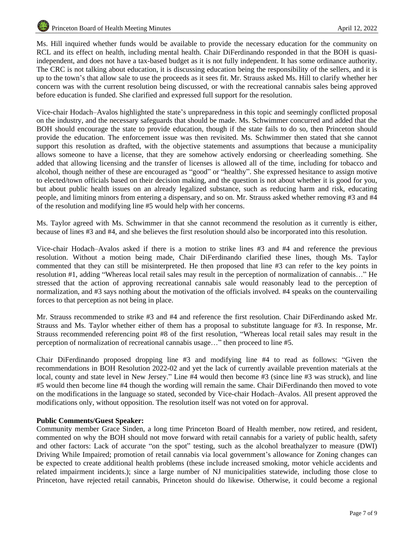Ms. Hill inquired whether funds would be available to provide the necessary education for the community on RCL and its effect on health, including mental health. Chair DiFerdinando responded in that the BOH is quasiindependent, and does not have a tax-based budget as it is not fully independent. It has some ordinance authority. The CRC is not talking about education, it is discussing education being the responsibility of the sellers, and it is up to the town's that allow sale to use the proceeds as it sees fit. Mr. Strauss asked Ms. Hill to clarify whether her concern was with the current resolution being discussed, or with the recreational cannabis sales being approved before education is funded. She clarified and expressed full support for the resolution.

Vice-chair Hodach–Avalos highlighted the state's unpreparedness in this topic and seemingly conflicted proposal on the industry, and the necessary safeguards that should be made. Ms. Schwimmer concurred and added that the BOH should encourage the state to provide education, though if the state fails to do so, then Princeton should provide the education. The enforcement issue was then revisited. Ms. Schwimmer then stated that she cannot support this resolution as drafted, with the objective statements and assumptions that because a municipality allows someone to have a license, that they are somehow actively endorsing or cheerleading something. She added that allowing licensing and the transfer of licenses is allowed all of the time, including for tobacco and alcohol, though neither of these are encouraged as "good" or "healthy". She expressed hesitance to assign motive to elected/town officials based on their decision making, and the question is not about whether it is good for you, but about public health issues on an already legalized substance, such as reducing harm and risk, educating people, and limiting minors from entering a dispensary, and so on. Mr. Strauss asked whether removing #3 and #4 of the resolution and modifying line #5 would help with her concerns.

Ms. Taylor agreed with Ms. Schwimmer in that she cannot recommend the resolution as it currently is either, because of lines #3 and #4, and she believes the first resolution should also be incorporated into this resolution.

Vice-chair Hodach–Avalos asked if there is a motion to strike lines #3 and #4 and reference the previous resolution. Without a motion being made, Chair DiFerdinando clarified these lines, though Ms. Taylor commented that they can still be misinterpreted. He then proposed that line #3 can refer to the key points in resolution #1, adding "Whereas local retail sales may result in the perception of normalization of cannabis…" He stressed that the action of approving recreational cannabis sale would reasonably lead to the perception of normalization, and #3 says nothing about the motivation of the officials involved. #4 speaks on the countervailing forces to that perception as not being in place.

Mr. Strauss recommended to strike #3 and #4 and reference the first resolution. Chair DiFerdinando asked Mr. Strauss and Ms. Taylor whether either of them has a proposal to substitute language for #3. In response, Mr. Strauss recommended referencing point #8 of the first resolution, "Whereas local retail sales may result in the perception of normalization of recreational cannabis usage…" then proceed to line #5.

Chair DiFerdinando proposed dropping line #3 and modifying line #4 to read as follows: "Given the recommendations in BOH Resolution 2022-02 and yet the lack of currently available prevention materials at the local, county and state level in New Jersey." Line #4 would then become #3 (since line #3 was struck), and line #5 would then become line #4 though the wording will remain the same. Chair DiFerdinando then moved to vote on the modifications in the language so stated, seconded by Vice-chair Hodach–Avalos. All present approved the modifications only, without opposition. The resolution itself was not voted on for approval.

## **Public Comments/Guest Speaker:**

Community member Grace Sinden, a long time Princeton Board of Health member, now retired, and resident, commented on why the BOH should not move forward with retail cannabis for a variety of public health, safety and other factors: Lack of accurate "on the spot" testing, such as the alcohol breathalyzer to measure (DWI) Driving While Impaired; promotion of retail cannabis via local government's allowance for Zoning changes can be expected to create additional health problems (these include increased smoking, motor vehicle accidents and related impairment incidents.); since a large number of NJ municipalities statewide, including those close to Princeton, have rejected retail cannabis, Princeton should do likewise. Otherwise, it could become a regional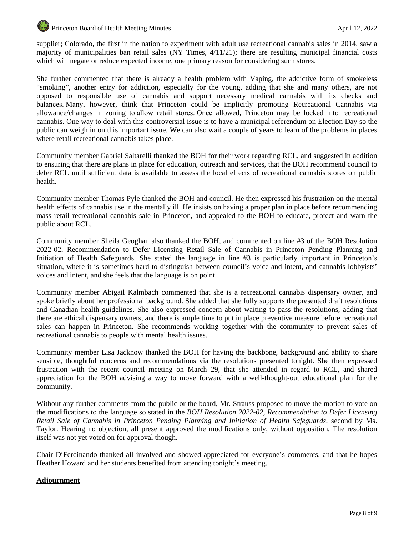supplier; Colorado, the first in the nation to experiment with adult use recreational cannabis sales in 2014, saw a majority of municipalities ban retail sales (NY Times, 4/11/21); there are resulting municipal financial costs which will negate or reduce expected income, one primary reason for considering such stores.

She further commented that there is already a health problem with Vaping, the addictive form of smokeless "smoking", another entry for addiction, especially for the young, adding that she and many others, are not opposed to responsible use of cannabis and support necessary medical cannabis with its checks and balances. Many, however, think that Princeton could be implicitly promoting Recreational Cannabis via allowance/changes in zoning to allow retail stores. Once allowed, Princeton may be locked into recreational cannabis. One way to deal with this controversial issue is to have a municipal referendum on Election Day so the public can weigh in on this important issue. We can also wait a couple of years to learn of the problems in places where retail recreational cannabis takes place.

Community member Gabriel Saltarelli thanked the BOH for their work regarding RCL, and suggested in addition to ensuring that there are plans in place for education, outreach and services, that the BOH recommend council to defer RCL until sufficient data is available to assess the local effects of recreational cannabis stores on public health.

Community member Thomas Pyle thanked the BOH and council. He then expressed his frustration on the mental health effects of cannabis use in the mentally ill. He insists on having a proper plan in place before recommending mass retail recreational cannabis sale in Princeton, and appealed to the BOH to educate, protect and warn the public about RCL.

Community member Sheila Geoghan also thanked the BOH, and commented on line #3 of the BOH Resolution 2022-02, Recommendation to Defer Licensing Retail Sale of Cannabis in Princeton Pending Planning and Initiation of Health Safeguards. She stated the language in line #3 is particularly important in Princeton's situation, where it is sometimes hard to distinguish between council's voice and intent, and cannabis lobbyists' voices and intent, and she feels that the language is on point.

Community member Abigail Kalmbach commented that she is a recreational cannabis dispensary owner, and spoke briefly about her professional background. She added that she fully supports the presented draft resolutions and Canadian health guidelines. She also expressed concern about waiting to pass the resolutions, adding that there are ethical dispensary owners, and there is ample time to put in place preventive measure before recreational sales can happen in Princeton. She recommends working together with the community to prevent sales of recreational cannabis to people with mental health issues.

Community member Lisa Jacknow thanked the BOH for having the backbone, background and ability to share sensible, thoughtful concerns and recommendations via the resolutions presented tonight. She then expressed frustration with the recent council meeting on March 29, that she attended in regard to RCL, and shared appreciation for the BOH advising a way to move forward with a well-thought-out educational plan for the community.

Without any further comments from the public or the board, Mr. Strauss proposed to move the motion to vote on the modifications to the language so stated in the *BOH Resolution 2022-02, Recommendation to Defer Licensing Retail Sale of Cannabis in Princeton Pending Planning and Initiation of Health Safeguards*, second by Ms. Taylor. Hearing no objection, all present approved the modifications only, without opposition. The resolution itself was not yet voted on for approval though.

Chair DiFerdinando thanked all involved and showed appreciated for everyone's comments, and that he hopes Heather Howard and her students benefited from attending tonight's meeting.

## **Adjournment**